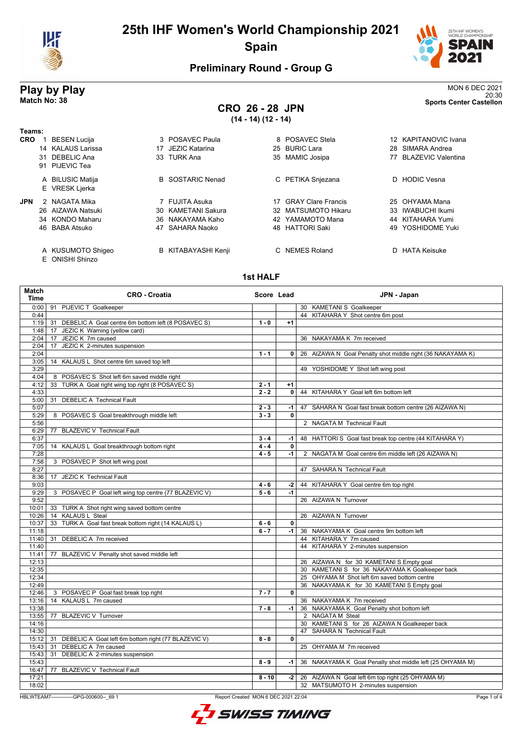



20:30 **Match No: 38 Sports Center Castellon**

### **Preliminary Round - Group G**

# **Play by Play**<br>MON 6 DEC 2021<br>Sports Center Castellon<br>Sports Center Castellon

# **CRO 26 - 28 JPN**

**(14 - 14) (12 - 14)**

| Teams:     |    |                                           |                         |     |                           |     |                           |
|------------|----|-------------------------------------------|-------------------------|-----|---------------------------|-----|---------------------------|
| <b>CRO</b> |    | <b>BESEN Lucija</b>                       | 3 POSAVEC Paula         |     | 8 POSAVEC Stela           |     | 12 KAPITANOVIC Ivana      |
|            |    | 14 KALAUS Larissa                         | JEZIC Katarina          | 25  | BURIC Lara                | 28. | SIMARA Andrea             |
|            |    | 31 DEBELIC Ana                            | 33 TURK Ana             | 35  | <b>MAMIC Josipa</b>       | 77  | <b>BLAZEVIC Valentina</b> |
|            |    | 91 PIJEVIC Tea                            |                         |     |                           |     |                           |
|            |    | A BILUSIC Matija                          | <b>B</b> SOSTARIC Nenad |     | C PETIKA Snjezana         |     | D HODIC Vesna             |
|            |    | E VRESK Ljerka                            |                         |     |                           |     |                           |
| <b>JPN</b> |    | 2 NAGATA Mika                             | 7 FUJITA Asuka          | 17  | <b>GRAY Clare Francis</b> |     | 25 OHYAMA Mana            |
|            |    | 26 AIZAWA Natsuki                         | 30 KAMETANI Sakura      | 32. | MATSUMOTO Hikaru          | 33. | <b>IWABUCHI Ikumi</b>     |
|            |    | 34 KONDO Maharu                           | 36 NAKAYAMA Kaho        |     | 42 YAMAMOTO Mana          |     | 44 KITAHARA Yumi          |
|            |    | 46 BABA Atsuko                            | 47 SAHARA Naoko         |     | 48 HATTORI Saki           | 49  | YOSHIDOME Yuki            |
|            | F. | A KUSUMOTO Shigeo<br><b>ONISHI Shinzo</b> | B KITABAYASHI Kenji     |     | C NEMES Roland            |     | D HATA Keisuke            |

#### **1st HALF**

| Match<br><b>Time</b> | <b>CRO - Croatia</b>                                   | Score Lead |                | JPN - Japan                                                |
|----------------------|--------------------------------------------------------|------------|----------------|------------------------------------------------------------|
| 0:00                 | 91 PIJEVIC T Goalkeeper                                |            |                | 30 KAMETANI S Goalkeeper                                   |
| 0:44                 |                                                        |            |                | 44 KITAHARA Y Shot centre 6m post                          |
| 1:19                 | 31 DEBELIC A Goal centre 6m bottom left (8 POSAVEC S)  | $1 - 0$    | $+1$           |                                                            |
| 1:48                 | 17 JEZIC K Warning (yellow card)                       |            |                |                                                            |
| 2:04                 | 17 JEZIC K 7m caused                                   |            |                | 36 NAKAYAMA K 7m received                                  |
| 2:04                 | JEZIC K 2-minutes suspension<br>17                     |            |                |                                                            |
| 2:04                 |                                                        | $1 - 1$    | $\mathbf{0}$   | 26 AIZAWA N Goal Penalty shot middle right (36 NAKAYAMA K) |
| 3:05                 | 14 KALAUS L Shot centre 6m saved top left              |            |                |                                                            |
| 3:29                 |                                                        |            |                | 49 YOSHIDOME Y Shot left wing post                         |
| 4:04                 | 8 POSAVEC S Shot left 6m saved middle right            |            |                |                                                            |
| 4:12                 | TURK A Goal right wing top right (8 POSAVEC S)<br>33   | $2 - 1$    | $+1$           |                                                            |
| 4:33                 |                                                        | $2 - 2$    | $\overline{0}$ | 44 KITAHARA Y Goal left 6m bottom left                     |
| 5:00                 | <b>DEBELIC A Technical Fault</b><br>31                 |            |                |                                                            |
| 5:07                 |                                                        | $2 - 3$    | $-1$           | 47 SAHARA N Goal fast break bottom centre (26 AIZAWA N)    |
| 5:29                 | 8 POSAVEC S Goal breakthrough middle left              | $3 - 3$    | $\mathbf{0}$   |                                                            |
| 5:56                 |                                                        |            |                | 2 NAGATA M Technical Fault                                 |
| 6:29                 | 77 BLAZEVIC V Technical Fault                          |            |                |                                                            |
| 6:37                 |                                                        | $3 - 4$    | $-1$           | 48 HATTORI S Goal fast break top centre (44 KITAHARA Y)    |
| 7:05                 | 14 KALAUS L Goal breakthrough bottom right             | $4 - 4$    | 0              |                                                            |
| 7:28                 |                                                        | $4 - 5$    | $-1$           | 2 NAGATA M Goal centre 6m middle left (26 AIZAWA N)        |
| 7:58                 | 3 POSAVEC P Shot left wing post                        |            |                |                                                            |
| 8:27                 |                                                        |            |                | 47 SAHARA N Technical Fault                                |
| 8:36                 | 17 JEZIC K Technical Fault                             |            |                |                                                            |
| 9:03                 |                                                        | $4 - 6$    | $-2$           | 44 KITAHARA Y Goal centre 6m top right                     |
| 9:29                 | 3 POSAVEC P Goal left wing top centre (77 BLAZEVIC V)  | $5 - 6$    | $-1$           |                                                            |
| 9:52                 |                                                        |            |                | 26 AIZAWA N Turnover                                       |
| 10:01                | 33 TURK A Shot right wing saved bottom centre          |            |                |                                                            |
| 10:26                | 14 KALAUS L Steal                                      |            |                | 26 AIZAWA N Turnover                                       |
| 10:37                | 33 TURK A Goal fast break bottom right (14 KALAUS L)   | $6 - 6$    | 0              |                                                            |
| 11:18                |                                                        | $6 - 7$    | $-1$           | 36 NAKAYAMA K Goal centre 9m bottom left                   |
| 11:40                | DEBELIC A 7m received<br>31                            |            |                | 44 KITAHARA Y 7m caused                                    |
| 11:40                |                                                        |            |                | 44 KITAHARA Y 2-minutes suspension                         |
| 11:41                | 77<br>BLAZEVIC V Penalty shot saved middle left        |            |                |                                                            |
| 12:13                |                                                        |            |                | 26 AIZAWA N for 30 KAMETANI S Empty goal                   |
| 12:35                |                                                        |            |                | 30 KAMETANI S for 36 NAKAYAMA K Goalkeeper back            |
| 12:34                |                                                        |            |                | 25 OHYAMA M Shot left 6m saved bottom centre               |
| 12:49                |                                                        |            |                | 36 NAKAYAMA K for 30 KAMETANI S Empty goal                 |
| 12:46                | 3 POSAVEC P Goal fast break top right                  | $7 - 7$    | $\mathbf{0}$   |                                                            |
| 13:16                | KALAUS L 7m caused<br>14                               |            |                | 36 NAKAYAMA K 7m received                                  |
| 13:38                |                                                        | $7 - 8$    | $-1$           | 36 NAKAYAMA K Goal Penalty shot bottom left                |
| 13:55                | <b>BLAZEVIC V Turnover</b><br>77                       |            |                | 2 NAGATA M Steal                                           |
| 14:16                |                                                        |            |                | 30 KAMETANI S for 26 AIZAWA N Goalkeeper back              |
| 14:30                |                                                        |            |                | 47 SAHARA N Technical Fault                                |
| 15:12                | 31 DEBELIC A Goal left 6m bottom right (77 BLAZEVIC V) | $8 - 8$    | $\mathbf{0}$   |                                                            |
| 15:43                | DEBELIC A 7m caused<br>31                              |            |                | 25 OHYAMA M 7m received                                    |
| 15:43                | DEBELIC A 2-minutes suspension<br>31                   |            |                |                                                            |
| 15:43                |                                                        | $8 - 9$    | -1 l           | 36 NAKAYAMA K Goal Penalty shot middle left (25 OHYAMA M)  |
| 16:47                | <b>BLAZEVIC V Technical Fault</b><br>77                |            |                |                                                            |
| 17:21                |                                                        | $8 - 10$   |                | -2   26 AIZAWA N Goal left 6m top right (25 OHYAMA M)      |
| 18:02                |                                                        |            |                | 32 MATSUMOTO H 2-minutes suspension                        |

HBLWTEAM7-------------GPG-000600--\_69 1 Report Created MON 6 DEC 2021 22:04

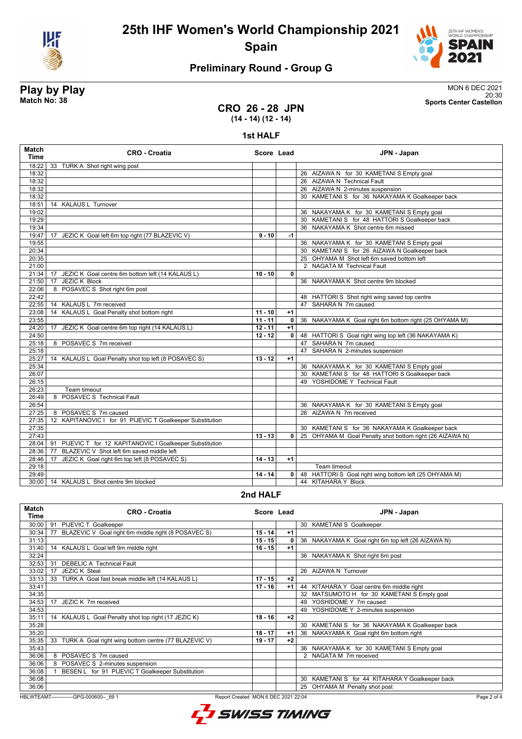



### **Preliminary Round - Group G**

**Play by Play**<br>MON 6 DEC 2021<br>Sports Center Castellon<br>Sports Center Castellon 20:30 **Match No: 38 Sports Center Castellon**

### **CRO 26 - 28 JPN (14 - 14) (12 - 14)**

#### **1st HALF**

| <b>Match</b><br><b>Time</b> | <b>CRO - Croatia</b>                                      | Score Lead |              | JPN - Japan                                              |
|-----------------------------|-----------------------------------------------------------|------------|--------------|----------------------------------------------------------|
| 18:22                       | 33 TURK A Shot right wing post                            |            |              |                                                          |
| 18:32                       |                                                           |            |              | 26 AIZAWA N for 30 KAMETANI S Empty goal                 |
| 18:32                       |                                                           |            |              | 26 AIZAWA N Technical Fault                              |
| 18:32                       |                                                           |            |              | 26 AIZAWA N 2-minutes suspension                         |
| 18:32                       |                                                           |            |              | 30 KAMETANI S for 36 NAKAYAMA K Goalkeeper back          |
| 18:51                       | 14 KALAUS L Turnover                                      |            |              |                                                          |
| 19:02                       |                                                           |            |              | 36 NAKAYAMA K for 30 KAMETANI S Empty goal               |
| 19:29                       |                                                           |            |              | 30 KAMETANI S for 48 HATTORI S Goalkeeper back           |
| 19:34                       |                                                           |            |              | 36 NAKAYAMA K Shot centre 6m missed                      |
| 19:47                       | JEZIC K Goal left 6m top right (77 BLAZEVIC V)<br>17      | $9 - 10$   | -1           |                                                          |
| 19:55                       |                                                           |            |              | 36 NAKAYAMA K for 30 KAMETANI S Empty goal               |
| 20:34                       |                                                           |            |              | 30 KAMETANI S for 26 AIZAWA N Goalkeeper back            |
| 20:35                       |                                                           |            |              | 25 OHYAMA M Shot left 6m saved bottom left               |
| 21:00                       |                                                           |            |              | 2 NAGATA M Technical Fault                               |
| 21:34                       | 17 JEZIC K Goal centre 6m bottom left (14 KALAUS L)       | $10 - 10$  | $\mathbf{0}$ |                                                          |
| 21:50                       | JEZIC K Block<br>17                                       |            |              | 36 NAKAYAMA K Shot centre 9m blocked                     |
| 22:06                       | 8 POSAVEC S Shot right 6m post                            |            |              |                                                          |
| 22:42                       |                                                           |            |              | 48 HATTORIS Shot right wing saved top centre             |
| 22:55                       | 14 KALAUS L 7m received                                   |            |              | 47 SAHARA N 7m caused                                    |
| 23:08                       | 14 KALAUS L Goal Penalty shot bottom right                | $11 - 10$  | $+1$         |                                                          |
| 23:55                       |                                                           | $11 - 11$  | $\mathbf{0}$ | 36 NAKAYAMA K Goal right 6m bottom right (25 OHYAMA M)   |
| 24:20                       | JEZIC K Goal centre 6m top right (14 KALAUS L)<br>17      | $12 - 11$  | $+1$         |                                                          |
| 24:50                       |                                                           | $12 - 12$  | $\mathbf{0}$ | 48 HATTORI S Goal right wing top left (36 NAKAYAMA K)    |
| 25:18                       | 8 POSAVEC S 7m received                                   |            |              | 47 SAHARA N 7m caused                                    |
| 25:18                       |                                                           |            |              | 47 SAHARA N 2-minutes suspension                         |
| 25:27                       | 14 KALAUS L Goal Penalty shot top left (8 POSAVEC S)      | $13 - 12$  | $+1$         |                                                          |
| 25:34                       |                                                           |            |              | 36 NAKAYAMA K for 30 KAMETANI S Empty goal               |
| 26:07                       |                                                           |            |              | 30 KAMETANI S for 48 HATTORI S Goalkeeper back           |
| 26:15                       |                                                           |            |              | 49 YOSHIDOME Y Technical Fault                           |
| 26:23                       | Team timeout                                              |            |              |                                                          |
| 26:49                       | 8 POSAVEC S Technical Fault                               |            |              |                                                          |
| 26:54                       |                                                           |            |              | 36 NAKAYAMA K for 30 KAMETANI S Empty goal               |
| 27:25                       | 8 POSAVEC S 7m caused                                     |            |              | 26 AIZAWA N 7m received                                  |
| 27:35                       | 12 KAPITANOVIC I for 91 PIJEVIC T Goalkeeper Substitution |            |              |                                                          |
| 27:35                       |                                                           |            |              | 30 KAMETANI S for 36 NAKAYAMA K Goalkeeper back          |
| 27:43                       |                                                           | $13 - 13$  | $\Omega$     | 25 OHYAMA M Goal Penalty shot bottom right (26 AIZAWA N) |
| 28:04                       | 91 PIJEVIC T for 12 KAPITANOVIC I Goalkeeper Substitution |            |              |                                                          |
| 28:36                       | BLAZEVIC V Shot left 6m saved middle left<br>77           |            |              |                                                          |
| 28:46                       | JEZIC K Goal right 6m top left (8 POSAVEC S)<br>17        | $14 - 13$  | $+1$         |                                                          |
| 29:18                       |                                                           |            |              | Team timeout                                             |
| 29:49                       |                                                           | 14 - 14    | $\mathbf{0}$ | 48 HATTORI S Goal right wing bottom left (25 OHYAMA M)   |
| 30:00                       | 14 KALAUS L Shot centre 9m blocked                        |            |              | 44 KITAHARA Y Block                                      |

#### **2nd HALF**

| Match<br>Time | <b>CRO - Croatia</b>                                       | Score Lead |      | JPN - Japan                                        |
|---------------|------------------------------------------------------------|------------|------|----------------------------------------------------|
| 30:00         | <b>PIJEVIC T Goalkeeper</b><br>91                          |            |      | 30 KAMETANI S Goalkeeper                           |
| 30:34         | BLAZEVIC V Goal right 6m middle right (8 POSAVEC S)<br>77  | $15 - 14$  | $+1$ |                                                    |
| 31:13         |                                                            | $15 - 15$  | 0    | 36 NAKAYAMA K Goal right 6m top left (26 AIZAWA N) |
| 31:40         | 14 KALAUS L Goal left 9m middle right                      | $16 - 15$  | $+1$ |                                                    |
| 32:24         |                                                            |            |      | 36 NAKAYAMA K Shot right 6m post                   |
| 32:53         | <b>DEBELIC A Technical Fault</b><br>31                     |            |      |                                                    |
| 33:02         | <b>JEZIC K Steal</b><br>17                                 |            |      | 26 AIZAWA N Turnover                               |
| 33:13         | 33 TURK A Goal fast break middle left (14 KALAUS L)        | $17 - 15$  | $+2$ |                                                    |
| 33:41         |                                                            | $17 - 16$  | $+1$ | 44 KITAHARA Y Goal centre 6m middle right          |
| 34:35         |                                                            |            |      | 32 MATSUMOTO H for 30 KAMETANI S Empty goal        |
| 34:53         | JEZIC K 7m received<br>17                                  |            |      | YOSHIDOME Y 7m caused<br>49                        |
| 34:53         |                                                            |            |      | YOSHIDOME Y 2-minutes suspension<br>49             |
| 35:11         | 14 KALAUS L Goal Penalty shot top right (17 JEZIC K)       | $18 - 16$  | $+2$ |                                                    |
| 35:28         |                                                            |            |      | KAMETANI S for 36 NAKAYAMA K Goalkeeper back<br>30 |
| 35:20         |                                                            | $18 - 17$  | $+1$ | 36<br>NAKAYAMA K Goal right 6m bottom right        |
| 35:35         | TURK A Goal right wing bottom centre (77 BLAZEVIC V)<br>33 | $19 - 17$  | $+2$ |                                                    |
| 35:43         |                                                            |            |      | NAKAYAMA K for 30 KAMETANI S Empty goal<br>36      |
| 36:06         | 8 POSAVEC S 7m caused                                      |            |      | 2 NAGATA M 7m received                             |
| 36:06         | 8 POSAVEC S 2-minutes suspension                           |            |      |                                                    |
| 36:08         | BESEN L for 91 PIJEVIC T Goalkeeper Substitution           |            |      |                                                    |
| 36:08         |                                                            |            |      | KAMETANI S for 44 KITAHARA Y Goalkeeper back<br>30 |
| 36:06         |                                                            |            |      | OHYAMA M Penalty shot post<br>25                   |

HBLWTEAM7-------------GPG-000600--\_69 1 Report Created MON 6 DEC 2021 22:04

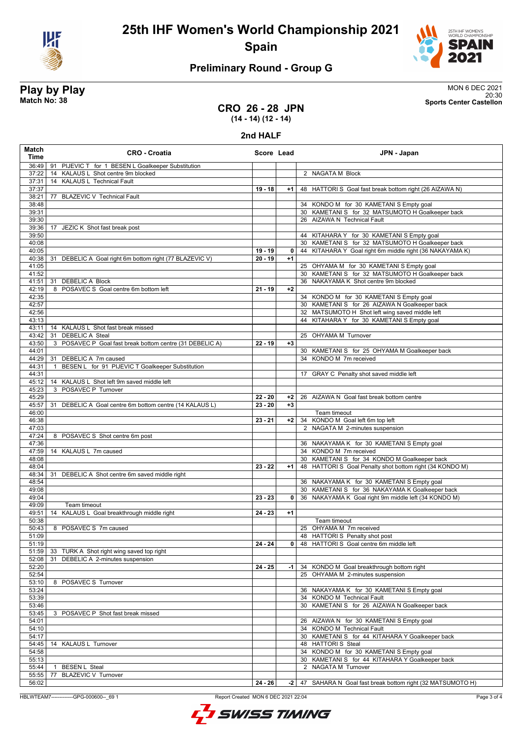



### **Preliminary Round - Group G**

**Play by Play**<br>MON 6 DEC 2021<br>Sports Center Castellon<br>Sports Center Castellon 20:30 **Match No: 38 Sports Center Castellon**

### **CRO 26 - 28 JPN (14 - 14) (12 - 14)**

**2nd HALF**

| Match<br>Time  | <b>CRO - Croatia</b>                                                  | Score Lead |              | JPN - Japan                                                                                              |
|----------------|-----------------------------------------------------------------------|------------|--------------|----------------------------------------------------------------------------------------------------------|
| 36:49          | PIJEVIC T for 1 BESEN L Goalkeeper Substitution<br>91                 |            |              |                                                                                                          |
| 37:22          | 14 KALAUS L Shot centre 9m blocked                                    |            |              | 2 NAGATA M Block                                                                                         |
| 37:31          | 14 KALAUS L Technical Fault                                           |            |              |                                                                                                          |
| 37:37          |                                                                       | $19 - 18$  | $+1$         | 48 HATTORI S Goal fast break bottom right (26 AIZAWA N)                                                  |
| 38:21          | 77 BLAZEVIC V Technical Fault                                         |            |              |                                                                                                          |
| 38:48<br>39:31 |                                                                       |            |              | 34 KONDO M for 30 KAMETANI S Empty goal<br>30 KAMETANI S for 32 MATSUMOTO H Goalkeeper back              |
| 39:30          |                                                                       |            |              | 26 AIZAWA N Technical Fault                                                                              |
| 39:36          | 17 JEZIC K Shot fast break post                                       |            |              |                                                                                                          |
| 39:50          |                                                                       |            |              | 44 KITAHARA Y for 30 KAMETANI S Empty goal                                                               |
| 40:08          |                                                                       |            |              | 30 KAMETANI S for 32 MATSUMOTO H Goalkeeper back                                                         |
| 40:05          |                                                                       | 19 - 19    | 0            | 44 KITAHARA Y Goal right 6m middle right (36 NAKAYAMA K)                                                 |
| 40:38          | DEBELIC A Goal right 6m bottom right (77 BLAZEVIC V)<br>31            | $20 - 19$  | $+1$         |                                                                                                          |
| 41:05          |                                                                       |            |              | 25 OHYAMA M for 30 KAMETANI S Empty goal                                                                 |
| 41:52          |                                                                       |            |              | 30 KAMETANI S for 32 MATSUMOTO H Goalkeeper back                                                         |
| 41:51          | 31 DEBELIC A Block                                                    |            |              | 36 NAKAYAMA K Shot centre 9m blocked                                                                     |
| 42:19<br>42:35 | 8 POSAVEC S Goal centre 6m bottom left                                | $21 - 19$  | $+2$         |                                                                                                          |
| 42:57          |                                                                       |            |              | 34 KONDO M for 30 KAMETANI S Empty goal<br>30 KAMETANI S for 26 AIZAWA N Goalkeeper back                 |
| 42:56          |                                                                       |            |              | 32 MATSUMOTO H Shot left wing saved middle left                                                          |
| 43:13          |                                                                       |            |              | 44 KITAHARA Y for 30 KAMETANI S Empty goal                                                               |
| 43:11          | 14 KALAUS L Shot fast break missed                                    |            |              |                                                                                                          |
| 43:42          | <b>DEBELIC A Steal</b><br>31                                          |            |              | 25 OHYAMA M Turnover                                                                                     |
| 43:50          | POSAVEC P Goal fast break bottom centre (31 DEBELIC A)<br>3           | $22 - 19$  | $+3$         |                                                                                                          |
| 44:01          |                                                                       |            |              | 30 KAMETANI S for 25 OHYAMA M Goalkeeper back                                                            |
| 44:29          | DEBELIC A 7m caused<br>31                                             |            |              | 34 KONDO M 7m received                                                                                   |
| 44:31          | BESEN L for 91 PIJEVIC T Goalkeeper Substitution<br>$\mathbf{1}$      |            |              |                                                                                                          |
| 44:31          |                                                                       |            |              | 17 GRAY C Penalty shot saved middle left                                                                 |
| 45:12<br>45:23 | 14 KALAUS L Shot left 9m saved middle left<br>POSAVEC P Turnover<br>3 |            |              |                                                                                                          |
| 45:29          |                                                                       | $22 - 20$  | $+2$         | 26 AIZAWA N Goal fast break bottom centre                                                                |
| 45:57          | DEBELIC A Goal centre 6m bottom centre (14 KALAUS L)<br>31            | $23 - 20$  | $+3$         |                                                                                                          |
| 46:00          |                                                                       |            |              | Team timeout                                                                                             |
| 46:38          |                                                                       | $23 - 21$  | $+2$         | 34 KONDO M Goal left 6m top left                                                                         |
| 47:03          |                                                                       |            |              | 2 NAGATA M 2-minutes suspension                                                                          |
| 47:24          | 8 POSAVEC S Shot centre 6m post                                       |            |              |                                                                                                          |
| 47:36          |                                                                       |            |              | 36 NAKAYAMA K for 30 KAMETANI S Empty goal                                                               |
| 47:59          | 14 KALAUS L 7m caused                                                 |            |              | 34 KONDO M 7m received                                                                                   |
| 48:08<br>48:04 |                                                                       | $23 - 22$  | $+1$         | 30 KAMETANI S for 34 KONDO M Goalkeeper back<br>48 HATTORI S Goal Penalty shot bottom right (34 KONDO M) |
| 48:34          | 31<br>DEBELIC A Shot centre 6m saved middle right                     |            |              |                                                                                                          |
| 48:54          |                                                                       |            |              | 36 NAKAYAMA K for 30 KAMETANI S Empty goal                                                               |
| 49:08          |                                                                       |            |              | 30 KAMETANI S for 36 NAKAYAMA K Goalkeeper back                                                          |
| 49:04          |                                                                       | $23 - 23$  | $\mathbf{0}$ | 36 NAKAYAMA K Goal right 9m middle left (34 KONDO M)                                                     |
| 49:09          | Team timeout                                                          |            |              |                                                                                                          |
| 49:51          | KALAUS L Goal breakthrough middle right<br>14                         | $24 - 23$  | $+1$         |                                                                                                          |
| 50:38          |                                                                       |            |              | Team timeout                                                                                             |
| 50:43          | 8 POSAVEC S 7m caused                                                 |            |              | 25 OHYAMA M 7m received                                                                                  |
| 51:09          |                                                                       |            |              | 48 HATTORI S Penalty shot post                                                                           |
| 51:19<br>51:59 | 33 TURK A Shot right wing saved top right                             | 24 - 24    | $\mathbf{0}$ | 48 HATTORIS Goal centre 6m middle left                                                                   |
| 52:08          | DEBELIC A 2-minutes suspension<br>31                                  |            |              |                                                                                                          |
| 52:20          |                                                                       | $24 - 25$  | -1           | 34 KONDO M Goal breakthrough bottom right                                                                |
| 52:54          |                                                                       |            |              | 25 OHYAMA M 2-minutes suspension                                                                         |
| 53:10          | 8 POSAVEC S Turnover                                                  |            |              |                                                                                                          |
| 53:24          |                                                                       |            |              | 36 NAKAYAMA K for 30 KAMETANI S Empty goal                                                               |
| 53:39          |                                                                       |            |              | 34 KONDO M Technical Fault                                                                               |
| 53:46          |                                                                       |            |              | 30 KAMETANI S for 26 AIZAWA N Goalkeeper back                                                            |
| 53:45          | 3 POSAVEC P Shot fast break missed                                    |            |              |                                                                                                          |
| 54:01          |                                                                       |            |              | 26 AIZAWA N for 30 KAMETANI S Empty goal                                                                 |
| 54:10          |                                                                       |            |              | 34 KONDO M Technical Fault                                                                               |
| 54:17<br>54:45 | 14 KALAUS L Turnover                                                  |            |              | 30 KAMETANI S for 44 KITAHARA Y Goalkeeper back<br>48 HATTORIS Steal                                     |
| 54:58          |                                                                       |            |              | 34 KONDO M for 30 KAMETANI S Empty goal                                                                  |
| 55:13          |                                                                       |            |              | 30 KAMETANI S for 44 KITAHARA Y Goalkeeper back                                                          |
| 55:44          | <b>BESEN L Steal</b><br>-1                                            |            |              | 2 NAGATA M Turnover                                                                                      |
| 55:55          | <b>BLAZEVIC V Turnover</b><br>77                                      |            |              |                                                                                                          |
| 56:02          |                                                                       | 24 - 26    | $-2$         | 47 SAHARA N Goal fast break bottom right (32 MATSUMOTO H)                                                |